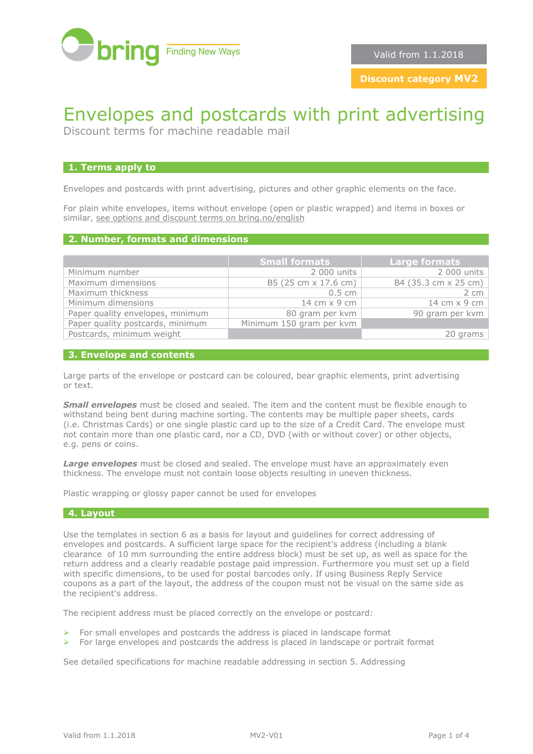

**Discount category MV2**

# Envelopes and postcards with print advertising

Discount terms for machine readable mail

### **1. Terms apply to**

Envelopes and postcards with print advertising, pictures and other graphic elements on the face.

For plain white envelopes, items without envelope (open or plastic wrapped) and items in boxes or similar, [see options and discount terms on bring.no/english](http://www.bring.no/english/terms-and-conditions/mail/mail-identical-formats/discount-terms-machine-readable-mail)

#### **2. Number, formats and dimensions**

|                                  | <b>Small formats</b>     | <b>Large formats</b> |
|----------------------------------|--------------------------|----------------------|
| Minimum number                   | 2 000 units              | 2 000 units          |
| Maximum dimensions               | B5 (25 cm x 17.6 cm)     | B4 (35.3 cm x 25 cm) |
| Maximum thickness                | $0.5 \, \text{cm}$       | 2 cm                 |
| Minimum dimensions               | 14 cm $\times$ 9 cm      | 14 cm x 9 cm         |
| Paper quality envelopes, minimum | 80 gram per kvm          | 90 gram per kvm      |
| Paper quality postcards, minimum | Minimum 150 gram per kvm |                      |
| Postcards, minimum weight        |                          | 20 grams             |

#### **3. Envelope and contents**

Large parts of the envelope or postcard can be coloured, bear graphic elements, print advertising or text.

**Small envelopes** must be closed and sealed. The item and the content must be flexible enough to withstand being bent during machine sorting. The contents may be multiple paper sheets, cards (i.e. Christmas Cards) or one single plastic card up to the size of a Credit Card. The envelope must not contain more than one plastic card, nor a CD, DVD (with or without cover) or other objects, e.g. pens or coins.

**Large envelopes** must be closed and sealed. The envelope must have an approximately even thickness. The envelope must not contain loose objects resulting in uneven thickness.

Plastic wrapping or glossy paper cannot be used for envelopes

# **4. Layout**

Use the templates in section 6 as a basis for layout and guidelines for correct addressing of envelopes and postcards. A sufficient large space for the recipient's address (including a blank clearance of 10 mm surrounding the entire address block) must be set up, as well as space for the return address and a clearly readable postage paid impression. Furthermore you must set up a field with specific dimensions, to be used for postal barcodes only. If using Business Reply Service coupons as a part of the layout, the address of the coupon must not be visual on the same side as the recipient's address.

The recipient address must be placed correctly on the envelope or postcard:

- $\triangleright$  For small envelopes and postcards the address is placed in landscape format
- $\triangleright$  For large envelopes and postcards the address is placed in landscape or portrait format

See detailed specifications for machine readable addressing in section 5. Addressing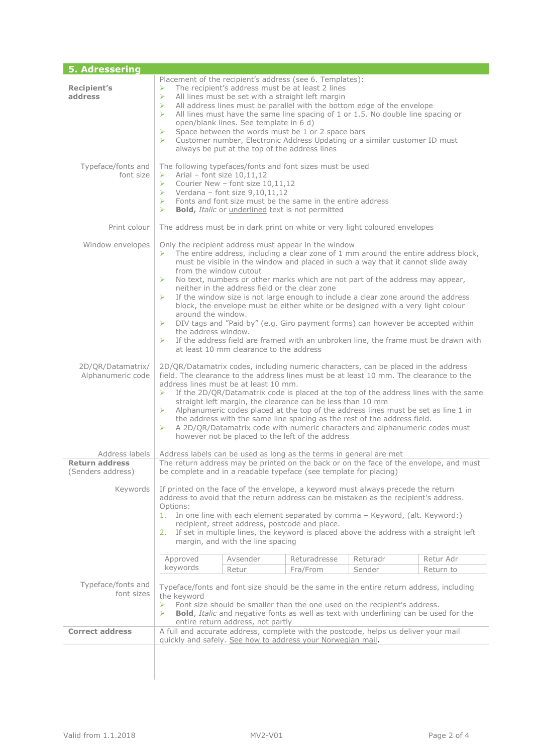| 5. Adressering                                         |                                                                                                                                                                                                                                                                                                                                                                                                                                                                                                                                                                                                                                                                                                                                                                                                                                                                                                          |          |                                                             |                                                                                     |           |  |  |
|--------------------------------------------------------|----------------------------------------------------------------------------------------------------------------------------------------------------------------------------------------------------------------------------------------------------------------------------------------------------------------------------------------------------------------------------------------------------------------------------------------------------------------------------------------------------------------------------------------------------------------------------------------------------------------------------------------------------------------------------------------------------------------------------------------------------------------------------------------------------------------------------------------------------------------------------------------------------------|----------|-------------------------------------------------------------|-------------------------------------------------------------------------------------|-----------|--|--|
| <b>Recipient's</b><br>address                          | Placement of the recipient's address (see 6. Templates):<br>The recipient's address must be at least 2 lines<br>➤<br>$\blacktriangleright$<br>All lines must be set with a straight left margin<br>All address lines must be parallel with the bottom edge of the envelope<br>➤<br>All lines must have the same line spacing of 1 or 1.5. No double line spacing or<br>➤<br>open/blank lines. See template in 6 d)<br>Space between the words must be 1 or 2 space bars<br>➤<br>$\blacktriangleright$<br>Customer number, Electronic Address Updating or a similar customer ID must<br>always be put at the top of the address lines                                                                                                                                                                                                                                                                     |          |                                                             |                                                                                     |           |  |  |
| Typeface/fonts and<br>font size                        | The following typefaces/fonts and font sizes must be used<br>Arial - font size $10,11,12$<br>➤<br>Courier New - font size 10,11,12<br>➤<br>$\blacktriangleright$<br>Verdana - font size 9,10,11,12<br>Fonts and font size must be the same in the entire address<br>➤<br>$\blacktriangleright$<br><b>Bold, Italic or underlined text is not permitted</b>                                                                                                                                                                                                                                                                                                                                                                                                                                                                                                                                                |          |                                                             |                                                                                     |           |  |  |
| Print colour                                           | The address must be in dark print on white or very light coloured envelopes                                                                                                                                                                                                                                                                                                                                                                                                                                                                                                                                                                                                                                                                                                                                                                                                                              |          |                                                             |                                                                                     |           |  |  |
| Window envelopes                                       | Only the recipient address must appear in the window<br>The entire address, including a clear zone of 1 mm around the entire address block,<br>➤<br>must be visible in the window and placed in such a way that it cannot slide away<br>from the window cutout<br>No text, numbers or other marks which are not part of the address may appear,<br>➤<br>neither in the address field or the clear zone<br>If the window size is not large enough to include a clear zone around the address<br>$\blacktriangleright$<br>block, the envelope must be either white or be designed with a very light colour<br>around the window.<br>DIV tags and "Paid by" (e.g. Giro payment forms) can however be accepted within<br>➤<br>the address window.<br>If the address field are framed with an unbroken line, the frame must be drawn with<br>$\blacktriangleright$<br>at least 10 mm clearance to the address |          |                                                             |                                                                                     |           |  |  |
| 2D/QR/Datamatrix/<br>Alphanumeric code                 | 2D/QR/Datamatrix codes, including numeric characters, can be placed in the address<br>field. The clearance to the address lines must be at least 10 mm. The clearance to the<br>address lines must be at least 10 mm.<br>➤<br>If the 2D/QR/Datamatrix code is placed at the top of the address lines with the same<br>straight left margin, the clearance can be less than 10 mm<br>Alphanumeric codes placed at the top of the address lines must be set as line 1 in<br>➤<br>the address with the same line spacing as the rest of the address field.<br>➤<br>A 2D/QR/Datamatrix code with numeric characters and alphanumeric codes must<br>however not be placed to the left of the address                                                                                                                                                                                                          |          |                                                             |                                                                                     |           |  |  |
| Address labels                                         | Address labels can be used as long as the terms in general are met                                                                                                                                                                                                                                                                                                                                                                                                                                                                                                                                                                                                                                                                                                                                                                                                                                       |          |                                                             |                                                                                     |           |  |  |
| <b>Return address</b><br>(Senders address)<br>Keywords | The return address may be printed on the back or on the face of the envelope, and must<br>be complete and in a readable typeface (see template for placing)<br>If printed on the face of the envelope, a keyword must always precede the return<br>address to avoid that the return address can be mistaken as the recipient's address.<br>Options:<br>In one line with each element separated by comma - Keyword, (alt. Keyword:)<br>1.<br>recipient, street address, postcode and place.<br>2. If set in multiple lines, the keyword is placed above the address with a straight left<br>margin, and with the line spacing                                                                                                                                                                                                                                                                             |          |                                                             |                                                                                     |           |  |  |
|                                                        | Approved                                                                                                                                                                                                                                                                                                                                                                                                                                                                                                                                                                                                                                                                                                                                                                                                                                                                                                 | Avsender | Returadresse                                                | Returadr                                                                            | Retur Adr |  |  |
|                                                        | keywords                                                                                                                                                                                                                                                                                                                                                                                                                                                                                                                                                                                                                                                                                                                                                                                                                                                                                                 | Retur    | Fra/From                                                    | Sender                                                                              | Return to |  |  |
| Typeface/fonts and<br>font sizes                       | Typeface/fonts and font size should be the same in the entire return address, including<br>the keyword<br>Font size should be smaller than the one used on the recipient's address.<br>➤<br>⋗<br><b>Bold,</b> Italic and negative fonts as well as text with underlining can be used for the<br>entire return address, not partly                                                                                                                                                                                                                                                                                                                                                                                                                                                                                                                                                                        |          |                                                             |                                                                                     |           |  |  |
| <b>Correct address</b>                                 |                                                                                                                                                                                                                                                                                                                                                                                                                                                                                                                                                                                                                                                                                                                                                                                                                                                                                                          |          |                                                             | A full and accurate address, complete with the postcode, helps us deliver your mail |           |  |  |
|                                                        |                                                                                                                                                                                                                                                                                                                                                                                                                                                                                                                                                                                                                                                                                                                                                                                                                                                                                                          |          | quickly and safely. See how to address your Norwegian mail. |                                                                                     |           |  |  |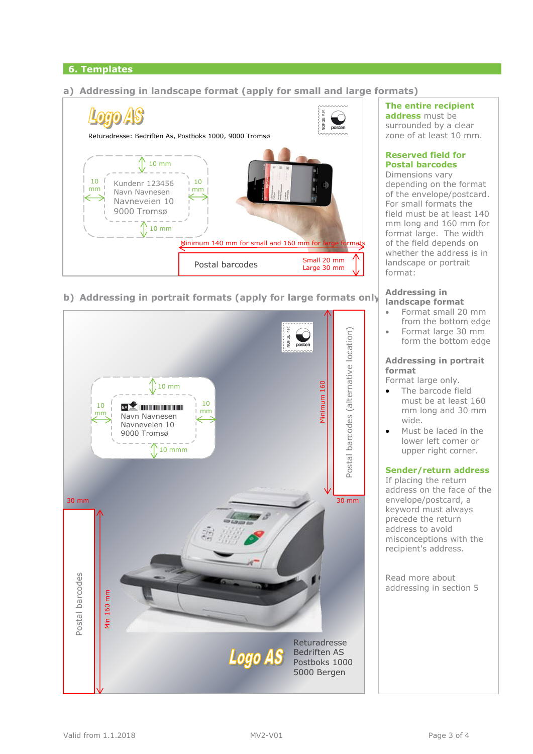# **6. Templates**

# **a) Addressing in landscape format (apply for small and large formats)**



**b) Addressing in portrait formats (apply for large formats only)**



## **The entire recipient address** must be

surrounded by a clear zone of at least 10 mm.

# **Reserved field for Postal barcodes**

Dimensions vary depending on the format of the envelope/postcard. For small formats the field must be at least 140 mm long and 160 mm for format large. The width of the field depends on whether the address is in landscape or portrait format:

#### **Addressing in landscape format**

- Format small 20 mm from the bottom edge
- Format large 30 mm form the bottom edge

# **Addressing in portrait format**

Format large only.

- The barcode field must be at least 160 mm long and 30 mm wide.
- Must be laced in the lower left corner or upper right corner.

# **Sender/return address**

If placing the return address on the face of the envelope/postcard, a keyword must always precede the return address to avoid misconceptions with the recipient's address.

Read more about addressing in section 5